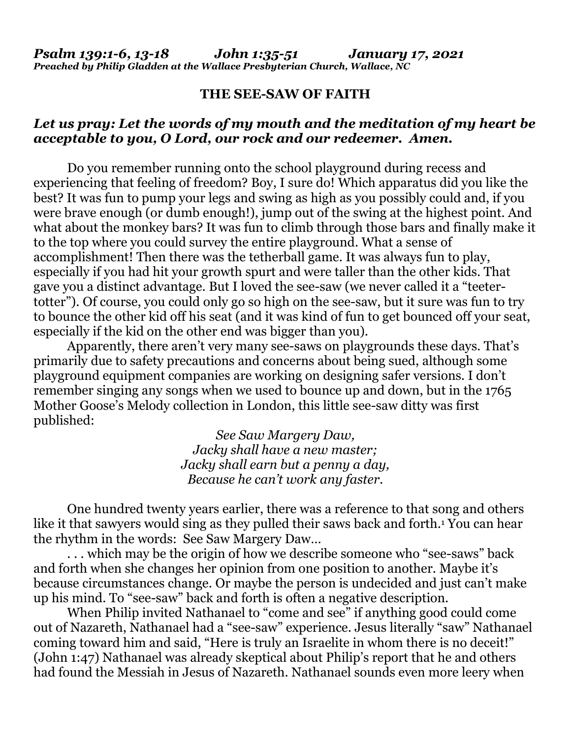## **THE SEE-SAW OF FAITH**

## *Let us pray: Let the words of my mouth and the meditation of my heart be acceptable to you, O Lord, our rock and our redeemer. Amen.*

Do you remember running onto the school playground during recess and experiencing that feeling of freedom? Boy, I sure do! Which apparatus did you like the best? It was fun to pump your legs and swing as high as you possibly could and, if you were brave enough (or dumb enough!), jump out of the swing at the highest point. And what about the monkey bars? It was fun to climb through those bars and finally make it to the top where you could survey the entire playground. What a sense of accomplishment! Then there was the tetherball game. It was always fun to play, especially if you had hit your growth spurt and were taller than the other kids. That gave you a distinct advantage. But I loved the see-saw (we never called it a "teetertotter"). Of course, you could only go so high on the see-saw, but it sure was fun to try to bounce the other kid off his seat (and it was kind of fun to get bounced off your seat, especially if the kid on the other end was bigger than you).

Apparently, there aren't very many see-saws on playgrounds these days. That's primarily due to safety precautions and concerns about being sued, although some playground equipment companies are working on designing safer versions. I don't remember singing any songs when we used to bounce up and down, but in the 1765 Mother Goose's Melody collection in London, this little see-saw ditty was first published:

> *See Saw Margery Daw, Jacky shall have a new master; Jacky shall earn but a penny a day, Because he can't work any faster.*

One hundred twenty years earlier, there was a reference to that song and others like it that sawyers would sing as they pulled their saws back and forth.<sup>1</sup> You can hear the rhythm in the words: See Saw Margery Daw…

. . . which may be the origin of how we describe someone who "see-saws" back and forth when she changes her opinion from one position to another. Maybe it's because circumstances change. Or maybe the person is undecided and just can't make up his mind. To "see-saw" back and forth is often a negative description.

When Philip invited Nathanael to "come and see" if anything good could come out of Nazareth, Nathanael had a "see-saw" experience. Jesus literally "saw" Nathanael coming toward him and said, "Here is truly an Israelite in whom there is no deceit!" (John 1:47) Nathanael was already skeptical about Philip's report that he and others had found the Messiah in Jesus of Nazareth. Nathanael sounds even more leery when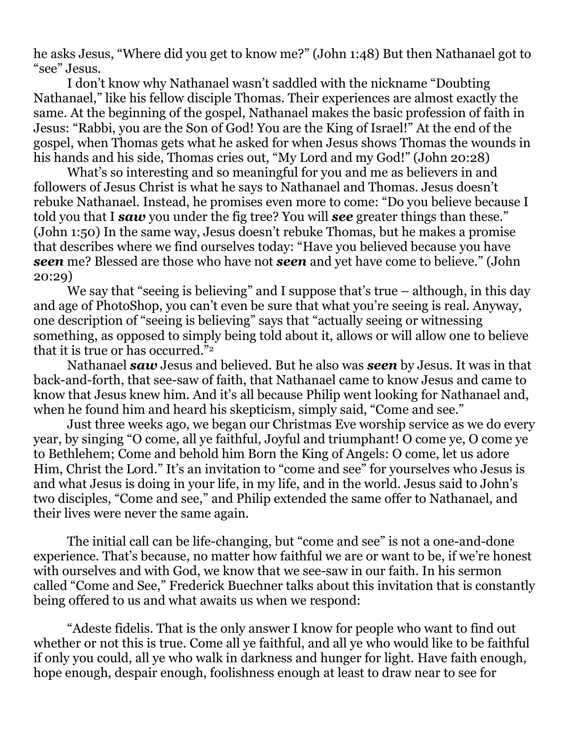he asks Jesus, "Where did you get to know me?" (John 1:48) But then Nathanael got to "see" Jesus.

I don't know why Nathanael wasn't saddled with the nickname "Doubting Nathanael," like his fellow disciple Thomas. Their experiences are almost exactly the same. At the beginning of the gospel, Nathanael makes the basic profession of faith in Jesus: "Rabbi, you are the Son of God! You are the King of Israel!" At the end of the gospel, when Thomas gets what he asked for when Jesus shows Thomas the wounds in his hands and his side, Thomas cries out, "My Lord and my God!" (John 20:28)

What's so interesting and so meaningful for you and me as believers in and followers of Jesus Christ is what he says to Nathanael and Thomas. Jesus doesn't rebuke Nathanael. Instead, he promises even more to come: "Do you believe because I told you that I *saw* you under the fig tree? You will *see* greater things than these." (John 1:50) In the same way, Jesus doesn't rebuke Thomas, but he makes a promise that describes where we find ourselves today: "Have you believed because you have *seen* me? Blessed are those who have not *seen* and yet have come to believe." (John 20:29)

We say that "seeing is believing" and I suppose that's true – although, in this day and age of PhotoShop, you can't even be sure that what you're seeing is real. Anyway, one description of "seeing is believing" says that "actually seeing or witnessing something, as opposed to simply being told about it, allows or will allow one to believe that it is true or has occurred."<sup>2</sup>

Nathanael *saw* Jesus and believed. But he also was *seen* by Jesus. It was in that back-and-forth, that see-saw of faith, that Nathanael came to know Jesus and came to know that Jesus knew him. And it's all because Philip went looking for Nathanael and, when he found him and heard his skepticism, simply said, "Come and see."

Just three weeks ago, we began our Christmas Eve worship service as we do every year, by singing "O come, all ye faithful, Joyful and triumphant! O come ye, O come ye to Bethlehem; Come and behold him Born the King of Angels: O come, let us adore Him, Christ the Lord." It's an invitation to "come and see" for yourselves who Jesus is and what Jesus is doing in your life, in my life, and in the world. Jesus said to John's two disciples, "Come and see," and Philip extended the same offer to Nathanael, and their lives were never the same again.

The initial call can be life-changing, but "come and see" is not a one-and-done experience. That's because, no matter how faithful we are or want to be, if we're honest with ourselves and with God, we know that we see-saw in our faith. In his sermon called "Come and See," Frederick Buechner talks about this invitation that is constantly being offered to us and what awaits us when we respond:

"Adeste fidelis. That is the only answer I know for people who want to find out whether or not this is true. Come all ye faithful, and all ye who would like to be faithful if only you could, all ye who walk in darkness and hunger for light. Have faith enough, hope enough, despair enough, foolishness enough at least to draw near to see for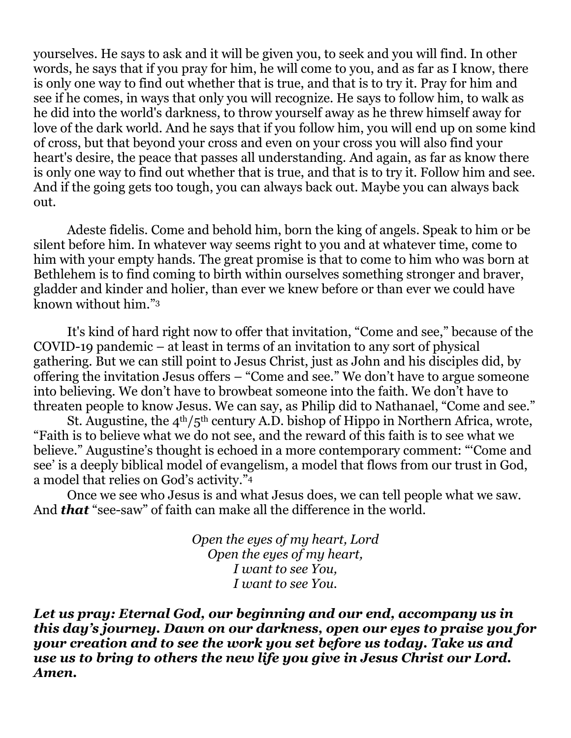yourselves. He says to ask and it will be given you, to seek and you will find. In other words, he says that if you pray for him, he will come to you, and as far as I know, there is only one way to find out whether that is true, and that is to try it. Pray for him and see if he comes, in ways that only you will recognize. He says to follow him, to walk as he did into the world's darkness, to throw yourself away as he threw himself away for love of the dark world. And he says that if you follow him, you will end up on some kind of cross, but that beyond your cross and even on your cross you will also find your heart's desire, the peace that passes all understanding. And again, as far as know there is only one way to find out whether that is true, and that is to try it. Follow him and see. And if the going gets too tough, you can always back out. Maybe you can always back out.

Adeste fidelis. Come and behold him, born the king of angels. Speak to him or be silent before him. In whatever way seems right to you and at whatever time, come to him with your empty hands. The great promise is that to come to him who was born at Bethlehem is to find coming to birth within ourselves something stronger and braver, gladder and kinder and holier, than ever we knew before or than ever we could have known without him." 3

It's kind of hard right now to offer that invitation, "Come and see," because of the COVID-19 pandemic  $-$  at least in terms of an invitation to any sort of physical gathering. But we can still point to Jesus Christ, just as John and his disciples did, by offering the invitation Jesus offers – "Come and see." We don't have to argue someone into believing. We don't have to browbeat someone into the faith. We don't have to threaten people to know Jesus. We can say, as Philip did to Nathanael, "Come and see."

St. Augustine, the  $4<sup>th</sup>/5<sup>th</sup>$  century A.D. bishop of Hippo in Northern Africa, wrote, "Faith is to believe what we do not see, and the reward of this faith is to see what we believe." Augustine's thought is echoed in a more contemporary comment: "'Come and see' is a deeply biblical model of evangelism, a model that flows from our trust in God, a model that relies on God's activity."<sup>4</sup>

Once we see who Jesus is and what Jesus does, we can tell people what we saw. And *that* "see-saw" of faith can make all the difference in the world.

> *Open the eyes of my heart, Lord Open the eyes of my heart, I want to see You, I want to see You.*

*Let us pray: Eternal God, our beginning and our end, accompany us in this day's journey. Dawn on our darkness, open our eyes to praise you for your creation and to see the work you set before us today. Take us and use us to bring to others the new life you give in Jesus Christ our Lord. Amen.*